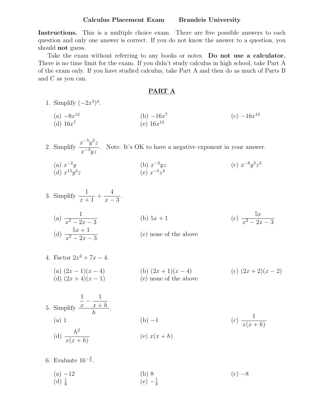#### Calculus Placement Exam Brandeis University

Instructions. This is a multiple choice exam. There are five possible answers to each question and only one answer is correct. If you do not know the answer to a question, you should not guess.

Take the exam without referring to any books or notes. Do not use a calculator. There is no time limit for the exam. If you didn't study calculus in high school, take Part A of the exam only. If you have studied calculus, take Part A and then do as much of Parts B and C as you can.

#### PART A

- 1. Simplify  $(-2x^3)^4$ . (b)  $-16x^7$  (c)  $-16x^{12}$ (a)  $-8x^{12}$ <br>(d)  $16x^7$
- 2. Simplify  $x^{-5}y^2z$  $x^{-3}yz$ . Note: It's OK to have a negative exponent in your answer.
	- (a)  $x^{-2}y$  (b)  $x^{-2}yz$  (c)  $x^{-8}y^3z^2$ (d)  $x^{15}y^3z$  (e)  $x^{-2}z^2$
- 3. Simplify  $\frac{1}{x+1} + \frac{4}{x-3}$ . (a)  $\frac{1}{x^2 - 2x - 3}$  (b)  $5x + 1$  (c)  $\frac{5x}{x^2 - 2x}$ (c)  $\frac{5x}{x^2 - 2x - 3}$ (d)  $\frac{5x+1}{x^2-2x-3}$ (e) none of the above
- 4. Factor  $2x^2 + 7x 4$ . (a)  $(2x-1)(x-4)$  (b)  $(2x+1)(x-4)$  (c)  $(2x+2)(x-2)$ <br>(d)  $(2x+4)(x-1)$  (e) none of the above (d) (2*x* + 4)(*x* 1) (e) none of the above
- 5. Simplify  $\frac{1}{x} - \frac{1}{x+h}$ . (a) 1 (b) -1 (c)  $\frac{1}{x(x+h)}$ (d)  $\frac{h^2}{x(x+h)}$  (e)  $x(x+h)$
- 6. Evaluate  $16^{-\frac{3}{4}}$ .
	- (a)  $-12$  (b) 8 (c)  $-8$ (d)  $\frac{1}{8}$  $\frac{1}{8}$  (e)  $-\frac{1}{8}$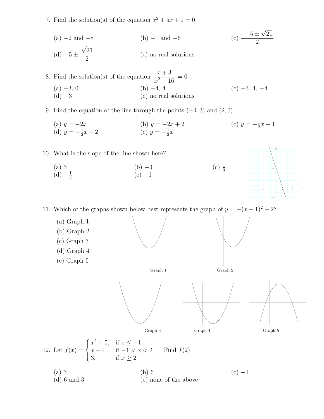7. Find the solution(s) of the equation  $x^2 + 5x + 1 = 0$ .

(a) -2 and -8  
\n(b) -1 and -6  
\n(c) 
$$
\frac{-5 \pm \sqrt{21}}{2}
$$
  
\n(e) no real solutions

21

2

 $y = -3x + 3$ 

*y*

*x*

8. Find the solution(s) of the equation  $\frac{x+3}{x^2-16} = 0.$ (a)  $-3, 0$ <br>
(b)  $-4, 4$ <br>
(c)  $-3, 4, -4$ <br>
(c)  $-3, 4, -4$  $(e)$  no real solutions

- 9. Find the equation of the line through the points  $(-4, 3)$  and  $(2, 0)$ .
	- (a)  $y = -2x$  (b)  $y = -2x + 2$  (c)  $y = -\frac{1}{2}$ (c)  $y = -\frac{1}{2}x + 1$ (a)  $y = -2x$ <br>(d)  $y = -\frac{1}{2}x + 2$  $\frac{1}{2}x + 2$  (e)  $y = -\frac{1}{2}x$

10. What is the slope of the line shown here?

- (a) 3 (b)  $-3$  (c)  $\frac{1}{3}$  $(d) -\frac{1}{3}$  $\frac{1}{3}$  (e)  $-1$
- $y = (x + 1)^2 + 2$  $y = (x - 1)^2 + 2$

11. Which of the graphs shown best represents the graph of  $y = -(x-1)^2 + 2$ ?  $y = 0$ ¤er@  $y = 0$ \* ∉n0

(a) Graph 1 (b) Graph 2 (c) Graph 3 (d) Graph 4 (e) Graph 5 Graph 1  $\blacksquare$   $\mathbf{x} = 0$  Graph 2  $y = ((x + 1)^2 - 2 \text{ if } -3 \text{ if } x \le 1)$  $y = 0$  $x = 0$  $(y<1)$  $(x - 1)<sup>2</sup> - 2$  if  $-1 < x < 3$ )  $y = 0$  $x = 0$  $y = (- (x - 1)^2 + 2 \text{ if } -1 < x < 3)$  $\blacksquare$  y = 0  $x = 0$ Graph 3 Graph 4 Graph 5 12. Let  $f(x) =$  $\sqrt{2}$  $\left| \right|$  $\downarrow$  $x^2 - 5$ , if  $x \le -1$  $x + 4$ , if  $-1 < x < 2$ 3, if  $x \ge 2$ Find  $f(2)$ . (a) 3 (b) 6 (c)  $-1$ 

(c)  $\frac{1}{3}$ 

(d) 6 and 3 (e) none of the above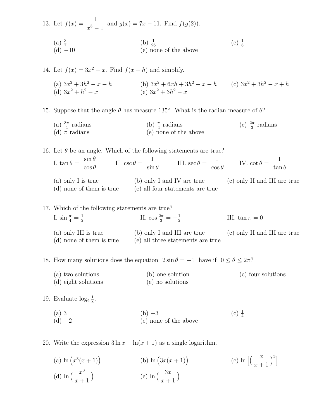13. Let 
$$
f(x) = \frac{1}{x^3 - 1}
$$
 and  $g(x) = 7x - 11$ . Find  $f(g(2))$ .  
\n(a)  $\frac{3}{7}$   
\n(b)  $\frac{1}{26}$   
\n(c)  $\frac{1}{8}$   
\n(d) -10  
\n(e) none of the above

14. Let  $f(x) = 3x^2 - x$ . Find  $f(x+h)$  and simplify.

(a)  $3x^2 + 3h^2 - x - h$  (b)  $3x^2 + 6xh + 3h^2 - x - h$  (c)  $3x^2 + 3h^2 - x + h$ (d)  $3x^2 + h^2 - x$  (e)  $3x^2 + 3h^2 - x$ 

15. Suppose that the angle  $\theta$  has measure 135°. What is the radian measure of  $\theta$ ?

(a)  $\frac{3\pi}{4}$  radians (b)  $\frac{\pi}{4}$  $\frac{\pi}{4}$  radians (c)  $\frac{2\pi}{3}$ (c)  $\frac{2\pi}{3}$  radians (d)  $\pi$  radians (e) none of the above

16. Let  $\theta$  be an angle. Which of the following statements are true?

- I. tan  $\theta = \frac{\sin \theta}{\cos \theta}$  $\frac{\sin \theta}{\cos \theta}$  II.  $\csc \theta = \frac{1}{\sin \theta}$  III.  $\sec \theta = \frac{1}{\cos \theta}$  IV.  $\cot \theta = \frac{1}{\tan \theta}$ (a) only I is true (b) only I and IV are true (c) only II and III are true (d) none of them is true (e) all four statements are true
- 17. Which of the following statements are true? I.  $\sin \frac{\pi}{4} = \frac{1}{2}$  $\frac{1}{2}$  II. cos  $\frac{2\pi}{3} = -\frac{1}{2}$ III. tan  $\pi = 0$ (a) only III is true (b) only I and III are true (c) only II and III are true (d) none of them is true (e) all three statements are true

18. How many solutions does the equation  $2 \sin \theta = -1$  have if  $0 \le \theta \le 2\pi$ ?

(a) two solutions (b) one solution (c) four solutions (d) eight solutions (e) no solutions

19. Evaluate  $\log_2 \frac{1}{8}$ .

(a) 3 (c)  $\frac{1}{4}$ (c)  $\frac{1}{4}$ (d)  $-2$  (e) none of the above

20. Write the expression  $3 \ln x - \ln(x + 1)$  as a single logarithm.

(a)  $\ln(x^3(x+1))$ (b)  $\ln (3x(x+1))$ (c)  $\ln \left[ \left( \frac{x}{x+1} \right)$  $\setminus$ <sup>3</sup>] (d)  $\ln \left( \frac{x^3}{x+1} \right)$  $\setminus$ (e)  $\ln\left(\frac{3x}{x+1}\right)$  $\setminus$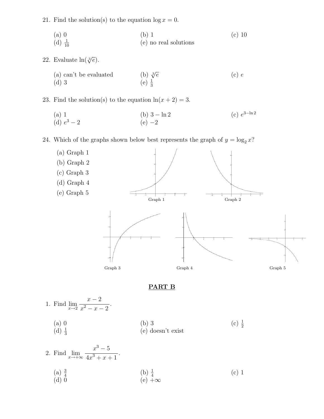21. Find the solution(s) to the equation  $\log x = 0$ .

(a) 0 (b) 1 (c) 10  $\left(\mathrm{d}\right)\frac{1}{10}$ <sup>10</sup> (e) no real solutions

22. Evaluate  $\ln(\sqrt[3]{e})$ .

(a) can't be evaluated (b)  $\sqrt[3]{e}$  (c) *e* (d) 3 (e)  $\frac{1}{3}$ 

23. Find the solution(s) to the equation  $ln(x + 2) = 3$ .

(a) 1<br>(d)  $e^3 - 2$  (b)  $3 - \ln 2$  (c)  $e^{3 - \ln 2}$ (d)  $e^3 - 2$   $\qquad \qquad \blacksquare$   $y = 2(e) - 2$  $\blacksquare$  y = 0  $\blacksquare$  y = 2<sup>-x</sup>

24. Which of the graphs shown below best represents the graph  $\theta f$   $y = \log_2 x$ ?



## PART B

1. Find 
$$
\lim_{x \to 2} \frac{x-2}{x^2 - x - 2}
$$
.  
\n(a) 0  
\n(b) 3  
\n(c)  $\frac{1}{2}$   
\n(d)  $\frac{1}{3}$   
\n(e) doesn't exist

2. Find 
$$
\lim_{x \to +\infty} \frac{x^3 - 5}{4x^3 + x + 1}
$$
.  
\n(a)  $\frac{3}{4}$   
\n(b)  $\frac{1}{4}$   
\n(c) 1  
\n(d) 0  
\n(e)  $+\infty$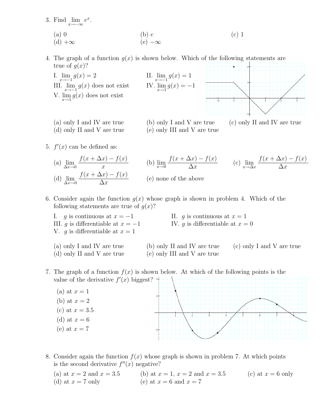

8. Consider again the function *f*(*x*) whose graph is shown in problem 7. At which points is the second derivative  $f''(x)$  negative?

(a) at  $x = 2$  and  $x = 3.5$  (b) at  $x = 1$ ,  $x = 2$  and  $x = 3.5$  (c) at  $x = 6$  only (d) at  $x = 7$  only (e) at  $x = 6$  and  $x = 7$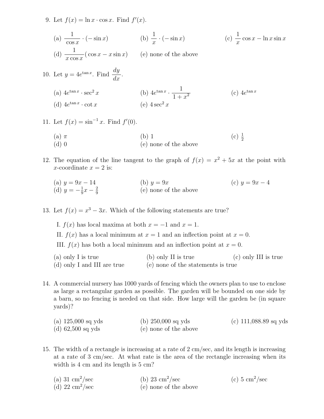9. Let  $f(x) = \ln x \cdot \cos x$ . Find  $f'(x)$ .

(a) 
$$
\frac{1}{\cos x} \cdot (-\sin x)
$$
   
\n(b)  $\frac{1}{x} \cdot (-\sin x)$    
\n(c)  $\frac{1}{x} \cos x - \ln x \sin x$    
\n(d)  $\frac{1}{x \cos x} (\cos x - x \sin x)$    
\n(e) none of the above

10. Let 
$$
y = 4e^{\tan x}
$$
. Find  $\frac{dy}{dx}$ .  
\n(a)  $4e^{\tan x} \cdot \sec^2 x$  (b)  $4e^{\tan x} \cdot \frac{1}{1+x^2}$  (c)  $4e^{\tan x}$   
\n(d)  $4e^{\tan x} \cdot \cot x$  (e)  $4\sec^2 x$ 

11. Let  $f(x) = \sin^{-1} x$ . Find  $f'(0)$ .

(a) 
$$
\pi
$$
 (b) 1 (c)  $\frac{1}{2}$  (d) 0 (e) none of the above

12. The equation of the line tangent to the graph of  $f(x) = x^2 + 5x$  at the point with *x*-coordinate  $x = 2$  is:

(a) 
$$
y = 9x - 14
$$
  
\n(b)  $y = 9x$   
\n(c)  $y = 9x - 4$   
\n(d)  $y = -\frac{1}{9}x - \frac{2}{9}$   
\n(e) none of the above

13. Let  $f(x) = x^3 - 3x$ . Which of the following statements are true?

I.  $f(x)$  has local maxima at both  $x = -1$  and  $x = 1$ . II.  $f(x)$  has a local minimum at  $x = 1$  and an inflection point at  $x = 0$ . III.  $f(x)$  has both a local minimum and an inflection point at  $x = 0$ . (a) only I is true (b) only II is true (c) only III is true

- (d) only I and III are true (e) none of the statements is true
- 14. A commercial nursery has 1000 yards of fencing which the owners plan to use to enclose as large a rectangular garden as possible. The garden will be bounded on one side by a barn, so no fencing is needed on that side. How large will the garden be (in square yards)?

(a) 125,000 sq yds (b) 250,000 sq yds (c) 111,088.89 sq yds (d) 62,500 sq yds (e) none of the above

15. The width of a rectangle is increasing at a rate of 2 cm/sec, and its length is increasing at a rate of 3 cm/sec. At what rate is the area of the rectangle increasing when its width is 4 cm and its length is 5 cm?

| (a) 31 $\mathrm{cm}^2/\mathrm{sec}$ | (b) $23 \text{ cm}^2/\text{sec}$ | (c) $5 \text{ cm}^2/\text{sec}$ |
|-------------------------------------|----------------------------------|---------------------------------|
| (d) 22 $\mathrm{cm}^2/\mathrm{sec}$ | (e) none of the above            |                                 |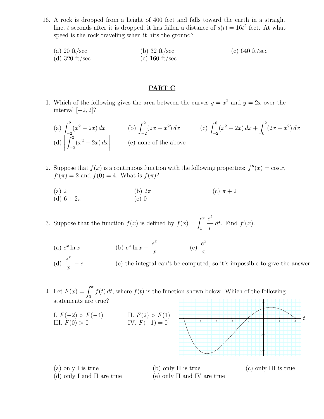- 16. A rock is dropped from a height of 400 feet and falls toward the earth in a straight line; *t* seconds after it is dropped, it has fallen a distance of  $s(t) = 16t^2$  feet. At what speed is the rock traveling when it hits the ground?
	- (a) 20 ft*/*sec (b) 32 ft*/*sec (c) 640 ft*/*sec (d) 320 ft*/*sec (e) 160 ft*/*sec

### PART C

1. Which of the following gives the area between the curves  $y = x^2$  and  $y = 2x$  over the interval  $[-2, 2]$ ?

(a) 
$$
\int_{-2}^{2} (x^2 - 2x) dx
$$
   
\n(b)  $\int_{-2}^{2} (2x - x^2) dx$    
\n(c)  $\int_{-2}^{0} (x^2 - 2x) dx + \int_{0}^{2} (2x - x^2) dx$    
\n(d)  $\int_{-2}^{2} (x^2 - 2x) dx$    
\n(e) none of the above

- 2. Suppose that  $f(x)$  is a continuous function with the following properties:  $f''(x) = \cos x$ ,  $f'(\pi) = 2$  and  $f(0) = 4$ . What is  $f(\pi)$ ?
	- (a) 2<br>(b)  $2\pi$  (c)  $\pi + 2$ <br>(d)  $6 + 2\pi$  (e) 0 (d)  $6 + 2\pi$

3. Suppose that the function  $f(x)$  is defined by  $f(x) = \int_1^x$ *et t* dt. Find  $f'(x)$ .

(a)  $e^x \ln x$  (b)  $e^x \ln x - \frac{e^x}{x}$  (c)  $\frac{e^x}{x}$ 

(d)  $\frac{e^x}{x} - e$ (e) the integral can't be computed, so it's impossible to give the answer

4. Let  $F(x) = \int_0^x f(t) dt$ , where  $f(t)$  is the function shown below. Which of the following statements are true?

I. 
$$
F(-2) > F(-4)
$$
  
III.  $F(0) > 0$   
IV.  $F(-1) = 0$ 



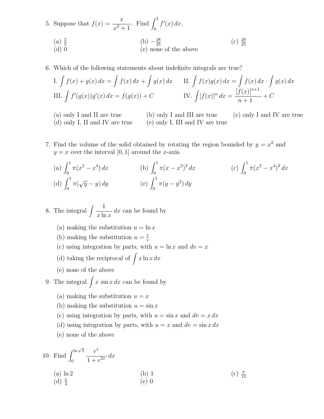5. Suppose that  $f(x) = \frac{x}{x}$  $x^2 + 1$ *f* Find  $\int_0^2 f'(x) dx$ . (a)  $\frac{2}{5}$  $\frac{2}{5}$  (b)  $-\frac{28}{25}$  (c)  $\frac{28}{25}$ (c)  $\frac{28}{25}$ (d) 0 (e) none of the above

6. Which of the following statements about indefinite integrals are true?

I. 
$$
\int f(x) + g(x) dx = \int f(x) dx + \int g(x) dx
$$
 II.  $\int f(x)g(x) dx = \int f(x) dx \cdot \int g(x) dx$   
III.  $\int f'(g(x))g'(x) dx = f(g(x)) + C$  IV.  $\int [f(x)]^n dx = \frac{[f(x)]^{n+1}}{n+1} + C$ 

- 
- (d) only I, II and IV are true (e) only I, III and IV are true

(a) only I and II are true (b) only I and III are true (c) only I and IV are true

7. Find the volume of the solid obtained by rotating the region bounded by  $y = x^2$  and  $y = x$  over the interval [0, 1] around the *x*-axis.

(a) 
$$
\int_0^1 \pi (x^2 - x^4) dx
$$
  
\n(b)  $\int_0^1 \pi (x - x^2)^2 dx$   
\n(c)  $\int_0^1 \pi (x^2 - x^4)^2 dx$   
\n(d)  $\int_0^1 \pi (\sqrt{y} - y) dy$   
\n(e)  $\int_0^1 \pi (y - y^2) dy$ 

8. The integral  $\left(\frac{1}{1}\right)$ *x* ln *x dx* can be found by

- (a) making the substitution  $u = \ln x$
- (b) making the substitution  $u = \frac{1}{x}$
- (c) using integration by parts, with  $u = \ln x$  and  $dv = x$
- (d) taking the reciprocal of  $\int x \ln x \, dx$
- (e) none of the above
- 9. The integral  $\int x \sin x dx$  can be found by
	- (a) making the substitution  $u = x$
	- (b) making the substitution  $u = \sin x$
	- (c) using integration by parts, with  $u = \sin x$  and  $dv = x dx$
	- (d) using integration by parts, with  $u = x$  and  $dv = \sin x dx$
	- (e) none of the above

10. Find 
$$
\int_0^{\ln \sqrt{3}} \frac{e^x}{1 + e^{2x}} dx
$$
  
\n(a) ln 2\n(b) 1\n(c)  $\frac{\pi}{12}$   
\n(d)  $\frac{\pi}{4}$ \n(e) 0\n $\left(\frac{\pi}{12}\right)$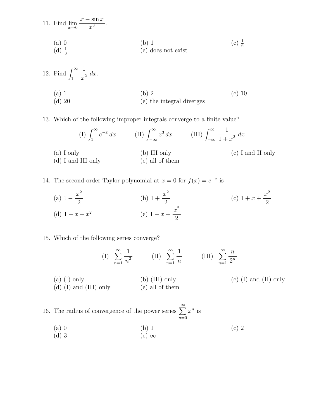11. Find 
$$
\lim_{x \to 0} \frac{x - \sin x}{x^3}
$$
.  
\n(a) 0  
\n(d)  $\frac{1}{3}$   
\n(e) does not exist\n  
\n(e) does not exist

12. Find 
$$
\int_{1}^{\infty} \frac{1}{x^2} dx.
$$
\n(a) 1\n(b) 2\n(c) 10\n(d) 20\n(e) the integral diverges\n
$$
(c) 10
$$

13. Which of the following improper integrals converge to a finite value?

$$
(I) \int_{1}^{\infty} e^{-x} dx \qquad (II) \int_{-\infty}^{\infty} x^{3} dx \qquad (III) \int_{-\infty}^{\infty} \frac{1}{1+x^{2}} dx
$$
  
(a) I only  
(b) III only  
(c) I and II only  
(e) all of them  
(11)

14. The second order Taylor polynomial at  $x = 0$  for  $f(x) = e^{-x}$  is

(a) 
$$
1 - \frac{x^2}{2}
$$
  
\n(b)  $1 + \frac{x^2}{2}$   
\n(c)  $1 + x + \frac{x^2}{2}$   
\n(d)  $1 - x + x^2$   
\n(e)  $1 - x + \frac{x^2}{2}$ 

### 15. Which of the following series converge?

(I) 
$$
\sum_{n=1}^{\infty} \frac{1}{n^2}
$$
 (II)  $\sum_{n=1}^{\infty} \frac{1}{n}$  (III)  $\sum_{n=1}^{\infty} \frac{n}{2^n}$ 

(a) (I) only (b) (III) only (c) (I) and (II) only (d) (I) and (III) only (e) all of them

16. The radius of convergence of the power series  $\sum_{n=1}^{\infty}$ *n*=0 *x<sup>n</sup>* is

- (a) 0 (b) 1 (c) 2
- (d) 3 (e)  $\infty$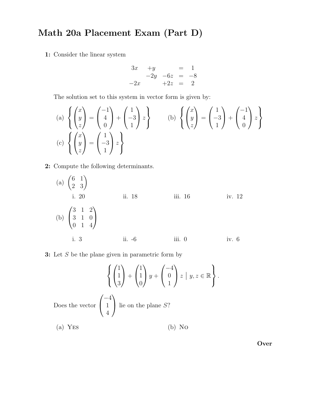# Math 20a Placement Exam (Part D)

1: Consider the linear system

$$
3x +y = 1\n-2y -6z = -8\n-2x +2z = 2
$$

The solution set to this system in vector form is given by:

(a) 
$$
\left\{ \begin{pmatrix} x \\ y \\ z \end{pmatrix} = \begin{pmatrix} -1 \\ 4 \\ 0 \end{pmatrix} + \begin{pmatrix} 1 \\ -3 \\ 1 \end{pmatrix} z \right\}
$$
  
\n(b) 
$$
\left\{ \begin{pmatrix} x \\ y \\ z \end{pmatrix} = \begin{pmatrix} 1 \\ -3 \\ 1 \end{pmatrix} z \right\}
$$
  
\n(c) 
$$
\left\{ \begin{pmatrix} x \\ y \\ z \end{pmatrix} = \begin{pmatrix} 1 \\ -3 \\ 1 \end{pmatrix} z \right\}
$$

2: Compute the following determinants.

(a) 
$$
\begin{pmatrix} 6 & 1 \\ 2 & 3 \end{pmatrix}
$$
  
\ni. 20 ii. 18 iii. 16 iv. 12  
\n(b)  $\begin{pmatrix} 3 & 1 & 2 \\ 3 & 1 & 0 \\ 0 & 1 & 4 \end{pmatrix}$   
\ni. 3 ii. -6 iii. 0 iv. 6

3: Let *S* be the plane given in parametric form by

$$
\left\{ \begin{pmatrix} 1 \\ 1 \\ 3 \end{pmatrix} + \begin{pmatrix} 1 \\ 1 \\ 0 \end{pmatrix} y + \begin{pmatrix} -4 \\ 0 \\ 1 \end{pmatrix} z \mid y, z \in \mathbb{R} \right\}.
$$
  
Does the vector 
$$
\begin{pmatrix} -4 \\ 1 \\ 4 \end{pmatrix}
$$
 lie on the plane S?  
(a) Yes  
(b) No

Over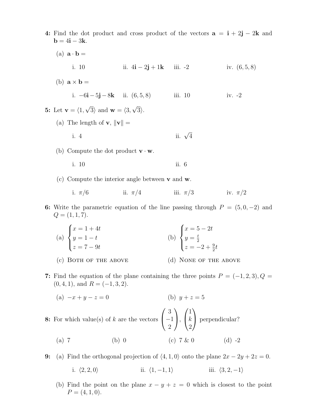- 4: Find the dot product and cross product of the vectors  $\mathbf{a} = \mathbf{i} + 2\mathbf{j} 2\mathbf{k}$  and  $\mathbf{b} = 4\mathbf{i} - 3\mathbf{k}$ . (a)  $\mathbf{a} \cdot \mathbf{b} =$ i. 10 ii.  $4i - 2j + 1k$  iii.  $-2$  iv.  $(6, 5, 8)$ (b)  $\mathbf{a} \times \mathbf{b} =$ i.  $-6i-5j-8k$  ii.  $(6, 5, 8)$  iii. 10 iv. -2 5: Let  $\mathbf{v} = \langle 1, \sqrt{3} \rangle$  and  $\mathbf{w} = \langle 3, \sqrt{3} \rangle$ . (a) The length of  $\mathbf{v}, \|\mathbf{v}\| =$ i. 4 ii.  $\sqrt{4}$ (b) Compute the dot product  $\mathbf{v} \cdot \mathbf{w}$ . i. 10 ii. 6 (c) Compute the interior angle between v and w. i.  $\pi/6$  ii.  $\pi/4$  iii.  $\pi/3$  iv.  $\pi/2$ 6: Write the parametric equation of the line passing through  $P = (5, 0, -2)$  and  $Q = (1, 1, 7).$ (a)  $\sqrt{2}$  $\int$  $\left\lfloor \right\rfloor$  $x = 1 + 4t$  $y = 1 - t$  $z = 7 - 9t$ (b)  $\sqrt{2}$  $\int$  $\left\lfloor \right\rfloor$  $x = 5 - 2t$  $y=\frac{t}{2}$  $z = -2 + \frac{9}{2}t$ (c) BOTH OF THE ABOVE (d) NONE OF THE ABOVE 7: Find the equation of the plane containing the three points  $P = (-1, 2, 3), Q =$  $(0, 4, 1)$ , and  $R = (-1, 3, 2)$ . (a)  $-x + y - z = 0$  (b)  $y + z = 5$ 8: For which value(s) of *k* are the vectors  $\sqrt{ }$  $\mathbf{I}$ 3  $^{-1}$ 2 1  $\vert$ ,  $\sqrt{ }$  $\overline{1}$ 1 *k* 2 1 Perpendicular?
	- (a) 7 (b) 0 (c) 7 & 0 (d) -2
- 9: (a) Find the orthogonal projection of  $\langle 4, 1, 0 \rangle$  onto the plane  $2x 2y + 2z = 0$ .
	- i.  $\langle 2, 2, 0 \rangle$  iii.  $\langle 1, -1, 1 \rangle$  iii.  $\langle 3, 2, -1 \rangle$
	- (b) Find the point on the plane  $x y + z = 0$  which is closest to the point  $P = (4, 1, 0).$